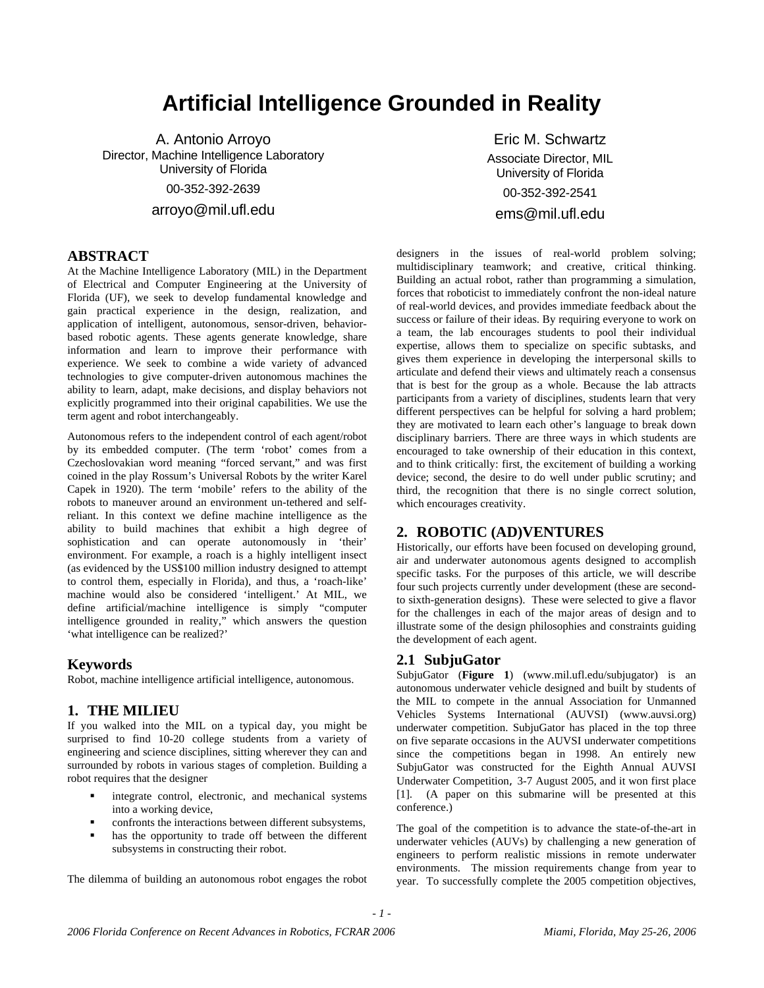# **Artificial Intelligence Grounded in Reality**

A. Antonio Arroyo Director, Machine Intelligence Laboratory University of Florida 00-352-392-2639 arroyo@mil.ufl.edu

# **ABSTRACT**

At the Machine Intelligence Laboratory (MIL) in the Department of Electrical and Computer Engineering at the University of Florida (UF), we seek to develop fundamental knowledge and gain practical experience in the design, realization, and application of intelligent, autonomous, sensor-driven, behaviorbased robotic agents. These agents generate knowledge, share information and learn to improve their performance with experience. We seek to combine a wide variety of advanced technologies to give computer-driven autonomous machines the ability to learn, adapt, make decisions, and display behaviors not explicitly programmed into their original capabilities. We use the term agent and robot interchangeably.

Autonomous refers to the independent control of each agent/robot by its embedded computer. (The term 'robot' comes from a Czechoslovakian word meaning "forced servant," and was first coined in the play Rossum's Universal Robots by the writer Karel Capek in 1920). The term 'mobile' refers to the ability of the robots to maneuver around an environment un-tethered and selfreliant. In this context we define machine intelligence as the ability to build machines that exhibit a high degree of sophistication and can operate autonomously in 'their' environment. For example, a roach is a highly intelligent insect (as evidenced by the US\$100 million industry designed to attempt to control them, especially in Florida), and thus, a 'roach-like' machine would also be considered 'intelligent.' At MIL, we define artificial/machine intelligence is simply "computer intelligence grounded in reality," which answers the question 'what intelligence can be realized?'

#### **Keywords**

Robot, machine intelligence artificial intelligence, autonomous.

#### **1. THE MILIEU**

If you walked into the MIL on a typical day, you might be surprised to find 10-20 college students from a variety of engineering and science disciplines, sitting wherever they can and surrounded by robots in various stages of completion. Building a robot requires that the designer

- integrate control, electronic, and mechanical systems into a working device,
- confronts the interactions between different subsystems,
- has the opportunity to trade off between the different subsystems in constructing their robot.

The dilemma of building an autonomous robot engages the robot

Eric M. Schwartz Associate Director, MIL University of Florida 00-352-392-2541 ems@mil.ufl.edu

designers in the issues of real-world problem solving; multidisciplinary teamwork; and creative, critical thinking. Building an actual robot, rather than programming a simulation, forces that roboticist to immediately confront the non-ideal nature of real-world devices, and provides immediate feedback about the success or failure of their ideas. By requiring everyone to work on a team, the lab encourages students to pool their individual expertise, allows them to specialize on specific subtasks, and gives them experience in developing the interpersonal skills to articulate and defend their views and ultimately reach a consensus that is best for the group as a whole. Because the lab attracts participants from a variety of disciplines, students learn that very different perspectives can be helpful for solving a hard problem; they are motivated to learn each other's language to break down disciplinary barriers. There are three ways in which students are encouraged to take ownership of their education in this context, and to think critically: first, the excitement of building a working device; second, the desire to do well under public scrutiny; and third, the recognition that there is no single correct solution, which encourages creativity.

## **2. ROBOTIC (AD)VENTURES**

Historically, our efforts have been focused on developing ground, air and underwater autonomous agents designed to accomplish specific tasks. For the purposes of this article, we will describe four such projects currently under development (these are secondto sixth-generation designs). These were selected to give a flavor for the challenges in each of the major areas of design and to illustrate some of the design philosophies and constraints guiding the development of each agent.

#### **2.1 SubjuGator**

SubjuGator (**Figure 1**) (www.mil.ufl.edu/subjugator) is an autonomous underwater vehicle designed and built by students of the MIL to compete in the annual Association for Unmanned Vehicles Systems International (AUVSI) (www.auvsi.org) underwater competition. SubjuGator has placed in the top three on five separate occasions in the AUVSI underwater competitions since the competitions began in 1998. An entirely new SubjuGator was constructed for the Eighth Annual AUVSI Underwater Competition, 3-7 August 2005, and it won first place [1]. (A paper on this submarine will be presented at this conference.)

The goal of the competition is to advance the state-of-the-art in underwater vehicles (AUVs) by challenging a new generation of engineers to perform realistic missions in remote underwater environments. The mission requirements change from year to year. To successfully complete the 2005 competition objectives,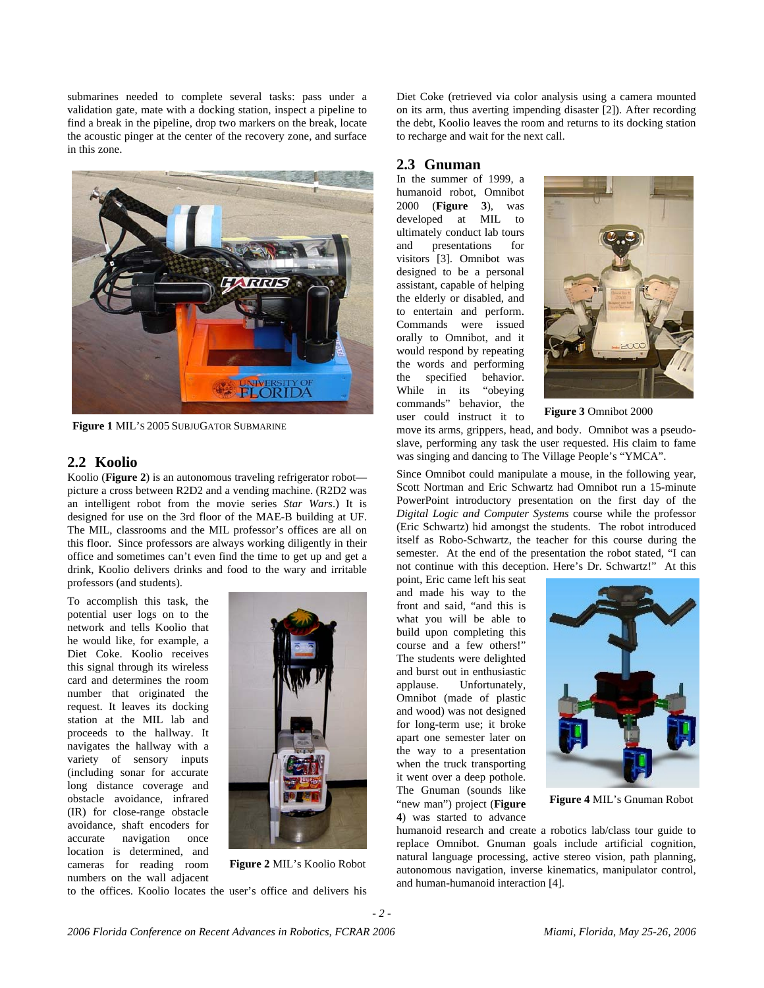submarines needed to complete several tasks: pass under a validation gate, mate with a docking station, inspect a pipeline to find a break in the pipeline, drop two markers on the break, locate the acoustic pinger at the center of the recovery zone, and surface in this zone.



**Figure 1** MIL'S 2005 SUBJUGATOR SUBMARINE

#### **2.2 Koolio**

Koolio (**Figure 2**) is an autonomous traveling refrigerator robot picture a cross between R2D2 and a vending machine. (R2D2 was an intelligent robot from the movie series *Star Wars*.) It is designed for use on the 3rd floor of the MAE-B building at UF. The MIL, classrooms and the MIL professor's offices are all on this floor. Since professors are always working diligently in their office and sometimes can't even find the time to get up and get a drink, Koolio delivers drinks and food to the wary and irritable professors (and students).

To accomplish this task, the potential user logs on to the network and tells Koolio that he would like, for example, a Diet Coke. Koolio receives this signal through its wireless card and determines the room number that originated the request. It leaves its docking station at the MIL lab and proceeds to the hallway. It navigates the hallway with a variety of sensory inputs (including sonar for accurate long distance coverage and obstacle avoidance, infrared (IR) for close-range obstacle avoidance, shaft encoders for accurate navigation once location is determined, and cameras for reading room numbers on the wall adjacent



**Figure 2** MIL's Koolio Robot

to the offices. Koolio locates the user's office and delivers his

Diet Coke (retrieved via color analysis using a camera mounted on its arm, thus averting impending disaster [2]). After recording the debt, Koolio leaves the room and returns to its docking station to recharge and wait for the next call.

#### **2.3 Gnuman**

In the summer of 1999, a humanoid robot, Omnibot<br>2000 (**Figure 3**), was 2000 (**Figure** 3), developed at MIL to ultimately conduct lab tours and presentations for visitors [3]. Omnibot was designed to be a personal assistant, capable of helping the elderly or disabled, and to entertain and perform. Commands were issued orally to Omnibot, and it would respond by repeating the words and performing the specified behavior. While in its "obeying commands" behavior, the user could instruct it to



**Figure 3** Omnibot 2000

move its arms, grippers, head, and body. Omnibot was a pseudoslave, performing any task the user requested. His claim to fame was singing and dancing to The Village People's "YMCA".

Since Omnibot could manipulate a mouse, in the following year, Scott Nortman and Eric Schwartz had Omnibot run a 15-minute PowerPoint introductory presentation on the first day of the *Digital Logic and Computer Systems* course while the professor (Eric Schwartz) hid amongst the students. The robot introduced itself as Robo-Schwartz, the teacher for this course during the semester. At the end of the presentation the robot stated, "I can not continue with this deception. Here's Dr. Schwartz!" At this

point, Eric came left his seat and made his way to the front and said, "and this is what you will be able to build upon completing this course and a few others!" The students were delighted and burst out in enthusiastic applause. Unfortunately, Omnibot (made of plastic and wood) was not designed for long-term use; it broke apart one semester later on the way to a presentation when the truck transporting it went over a deep pothole. The Gnuman (sounds like "new man") project (**Figure 4**) was started to advance



**Figure 4** MIL's Gnuman Robot

humanoid research and create a robotics lab/class tour guide to replace Omnibot. Gnuman goals include artificial cognition, natural language processing, active stereo vision, path planning, autonomous navigation, inverse kinematics, manipulator control, and human-humanoid interaction [4].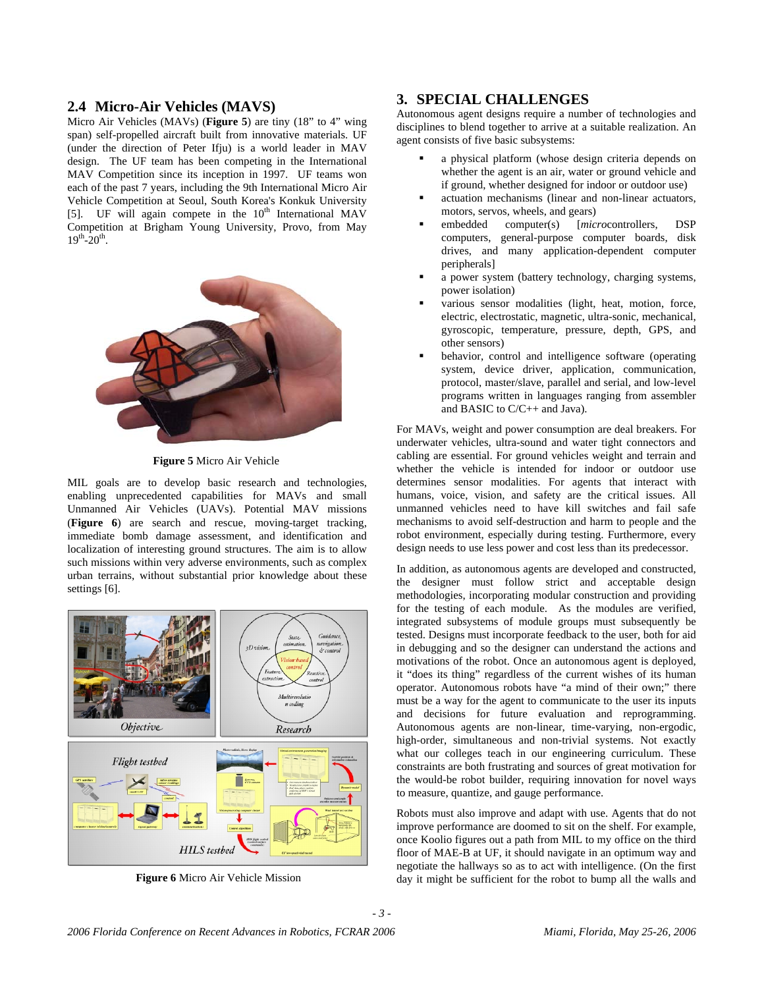#### **2.4 Micro-Air Vehicles (MAVS)**

Micro Air Vehicles (MAVs) (**Figure 5**) are tiny (18" to 4" wing span) self-propelled aircraft built from innovative materials. UF (under the direction of Peter Ifju) is a world leader in MAV design. The UF team has been competing in the International MAV Competition since its inception in 1997. UF teams won each of the past 7 years, including the 9th International Micro Air Vehicle Competition at Seoul, South Korea's Konkuk University [5]. UF will again compete in the  $10<sup>th</sup>$  International MAV Competition at Brigham Young University, Provo, from May  $19^{th} - 20^{th}$ .



**Figure 5** Micro Air Vehicle

MIL goals are to develop basic research and technologies, enabling unprecedented capabilities for MAVs and small Unmanned Air Vehicles (UAVs). Potential MAV missions (**Figure 6**) are search and rescue, moving-target tracking, immediate bomb damage assessment, and identification and localization of interesting ground structures. The aim is to allow such missions within very adverse environments, such as complex urban terrains, without substantial prior knowledge about these settings [6].



**Figure 6** Micro Air Vehicle Mission

### **3. SPECIAL CHALLENGES**

Autonomous agent designs require a number of technologies and disciplines to blend together to arrive at a suitable realization. An agent consists of five basic subsystems:

- a physical platform (whose design criteria depends on whether the agent is an air, water or ground vehicle and if ground, whether designed for indoor or outdoor use)
- actuation mechanisms (linear and non-linear actuators, motors, servos, wheels, and gears)
- embedded computer(s) [*micro*controllers, DSP computers, general-purpose computer boards, disk drives, and many application-dependent computer peripherals]
- a power system (battery technology, charging systems, power isolation)
- various sensor modalities (light, heat, motion, force, electric, electrostatic, magnetic, ultra-sonic, mechanical, gyroscopic, temperature, pressure, depth, GPS, and other sensors)
- behavior, control and intelligence software (operating system, device driver, application, communication, protocol, master/slave, parallel and serial, and low-level programs written in languages ranging from assembler and BASIC to C/C++ and Java).

For MAVs, weight and power consumption are deal breakers. For underwater vehicles, ultra-sound and water tight connectors and cabling are essential. For ground vehicles weight and terrain and whether the vehicle is intended for indoor or outdoor use determines sensor modalities. For agents that interact with humans, voice, vision, and safety are the critical issues. All unmanned vehicles need to have kill switches and fail safe mechanisms to avoid self-destruction and harm to people and the robot environment, especially during testing. Furthermore, every design needs to use less power and cost less than its predecessor.

In addition, as autonomous agents are developed and constructed, the designer must follow strict and acceptable design methodologies, incorporating modular construction and providing for the testing of each module. As the modules are verified, integrated subsystems of module groups must subsequently be tested. Designs must incorporate feedback to the user, both for aid in debugging and so the designer can understand the actions and motivations of the robot. Once an autonomous agent is deployed, it "does its thing" regardless of the current wishes of its human operator. Autonomous robots have "a mind of their own;" there must be a way for the agent to communicate to the user its inputs and decisions for future evaluation and reprogramming. Autonomous agents are non-linear, time-varying, non-ergodic, high-order, simultaneous and non-trivial systems. Not exactly what our colleges teach in our engineering curriculum. These constraints are both frustrating and sources of great motivation for the would-be robot builder, requiring innovation for novel ways to measure, quantize, and gauge performance.

Robots must also improve and adapt with use. Agents that do not improve performance are doomed to sit on the shelf. For example, once Koolio figures out a path from MIL to my office on the third floor of MAE-B at UF, it should navigate in an optimum way and negotiate the hallways so as to act with intelligence. (On the first day it might be sufficient for the robot to bump all the walls and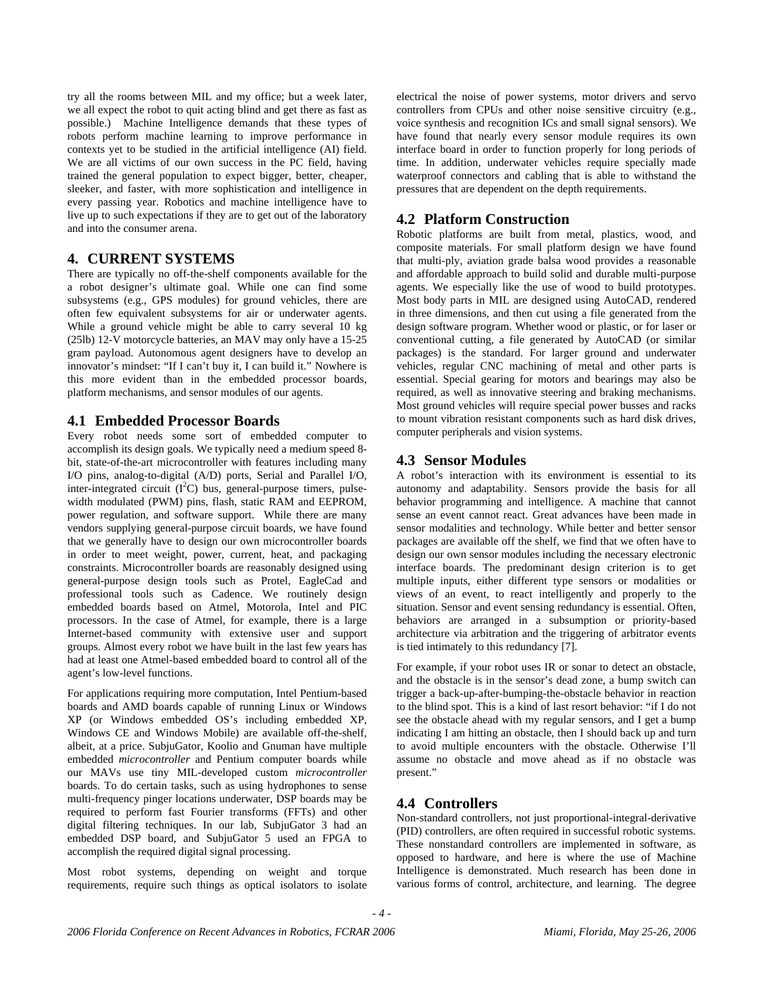try all the rooms between MIL and my office; but a week later, we all expect the robot to quit acting blind and get there as fast as possible.) Machine Intelligence demands that these types of robots perform machine learning to improve performance in contexts yet to be studied in the artificial intelligence (AI) field. We are all victims of our own success in the PC field, having trained the general population to expect bigger, better, cheaper, sleeker, and faster, with more sophistication and intelligence in every passing year. Robotics and machine intelligence have to live up to such expectations if they are to get out of the laboratory and into the consumer arena.

## **4. CURRENT SYSTEMS**

There are typically no off-the-shelf components available for the a robot designer's ultimate goal. While one can find some subsystems (e.g., GPS modules) for ground vehicles, there are often few equivalent subsystems for air or underwater agents. While a ground vehicle might be able to carry several 10 kg (25lb) 12-V motorcycle batteries, an MAV may only have a 15-25 gram payload. Autonomous agent designers have to develop an innovator's mindset: "If I can't buy it, I can build it." Nowhere is this more evident than in the embedded processor boards, platform mechanisms, and sensor modules of our agents.

### **4.1 Embedded Processor Boards**

Every robot needs some sort of embedded computer to accomplish its design goals. We typically need a medium speed 8 bit, state-of-the-art microcontroller with features including many I/O pins, analog-to-digital (A/D) ports, Serial and Parallel I/O, inter-integrated circuit  $(I<sup>2</sup>C)$  bus, general-purpose timers, pulsewidth modulated (PWM) pins, flash, static RAM and EEPROM, power regulation, and software support. While there are many vendors supplying general-purpose circuit boards, we have found that we generally have to design our own microcontroller boards in order to meet weight, power, current, heat, and packaging constraints. Microcontroller boards are reasonably designed using general-purpose design tools such as Protel, EagleCad and professional tools such as Cadence. We routinely design embedded boards based on Atmel, Motorola, Intel and PIC processors. In the case of Atmel, for example, there is a large Internet-based community with extensive user and support groups. Almost every robot we have built in the last few years has had at least one Atmel-based embedded board to control all of the agent's low-level functions.

For applications requiring more computation, Intel Pentium-based boards and AMD boards capable of running Linux or Windows XP (or Windows embedded OS's including embedded XP, Windows CE and Windows Mobile) are available off-the-shelf, albeit, at a price. SubjuGator, Koolio and Gnuman have multiple embedded *microcontroller* and Pentium computer boards while our MAVs use tiny MIL-developed custom *microcontroller* boards. To do certain tasks, such as using hydrophones to sense multi-frequency pinger locations underwater, DSP boards may be required to perform fast Fourier transforms (FFTs) and other digital filtering techniques. In our lab, SubjuGator 3 had an embedded DSP board, and SubjuGator 5 used an FPGA to accomplish the required digital signal processing.

Most robot systems, depending on weight and torque requirements, require such things as optical isolators to isolate

electrical the noise of power systems, motor drivers and servo controllers from CPUs and other noise sensitive circuitry (e.g., voice synthesis and recognition ICs and small signal sensors). We have found that nearly every sensor module requires its own interface board in order to function properly for long periods of time. In addition, underwater vehicles require specially made waterproof connectors and cabling that is able to withstand the pressures that are dependent on the depth requirements.

## **4.2 Platform Construction**

Robotic platforms are built from metal, plastics, wood, and composite materials. For small platform design we have found that multi-ply, aviation grade balsa wood provides a reasonable and affordable approach to build solid and durable multi-purpose agents. We especially like the use of wood to build prototypes. Most body parts in MIL are designed using AutoCAD, rendered in three dimensions, and then cut using a file generated from the design software program. Whether wood or plastic, or for laser or conventional cutting, a file generated by AutoCAD (or similar packages) is the standard. For larger ground and underwater vehicles, regular CNC machining of metal and other parts is essential. Special gearing for motors and bearings may also be required, as well as innovative steering and braking mechanisms. Most ground vehicles will require special power busses and racks to mount vibration resistant components such as hard disk drives, computer peripherals and vision systems.

# **4.3 Sensor Modules**

A robot's interaction with its environment is essential to its autonomy and adaptability. Sensors provide the basis for all behavior programming and intelligence. A machine that cannot sense an event cannot react. Great advances have been made in sensor modalities and technology. While better and better sensor packages are available off the shelf, we find that we often have to design our own sensor modules including the necessary electronic interface boards. The predominant design criterion is to get multiple inputs, either different type sensors or modalities or views of an event, to react intelligently and properly to the situation. Sensor and event sensing redundancy is essential. Often, behaviors are arranged in a subsumption or priority-based architecture via arbitration and the triggering of arbitrator events is tied intimately to this redundancy [7].

For example, if your robot uses IR or sonar to detect an obstacle, and the obstacle is in the sensor's dead zone, a bump switch can trigger a back-up-after-bumping-the-obstacle behavior in reaction to the blind spot. This is a kind of last resort behavior: "if I do not see the obstacle ahead with my regular sensors, and I get a bump indicating I am hitting an obstacle, then I should back up and turn to avoid multiple encounters with the obstacle. Otherwise I'll assume no obstacle and move ahead as if no obstacle was present."

## **4.4 Controllers**

Non-standard controllers, not just proportional-integral-derivative (PID) controllers, are often required in successful robotic systems. These nonstandard controllers are implemented in software, as opposed to hardware, and here is where the use of Machine Intelligence is demonstrated. Much research has been done in various forms of control, architecture, and learning. The degree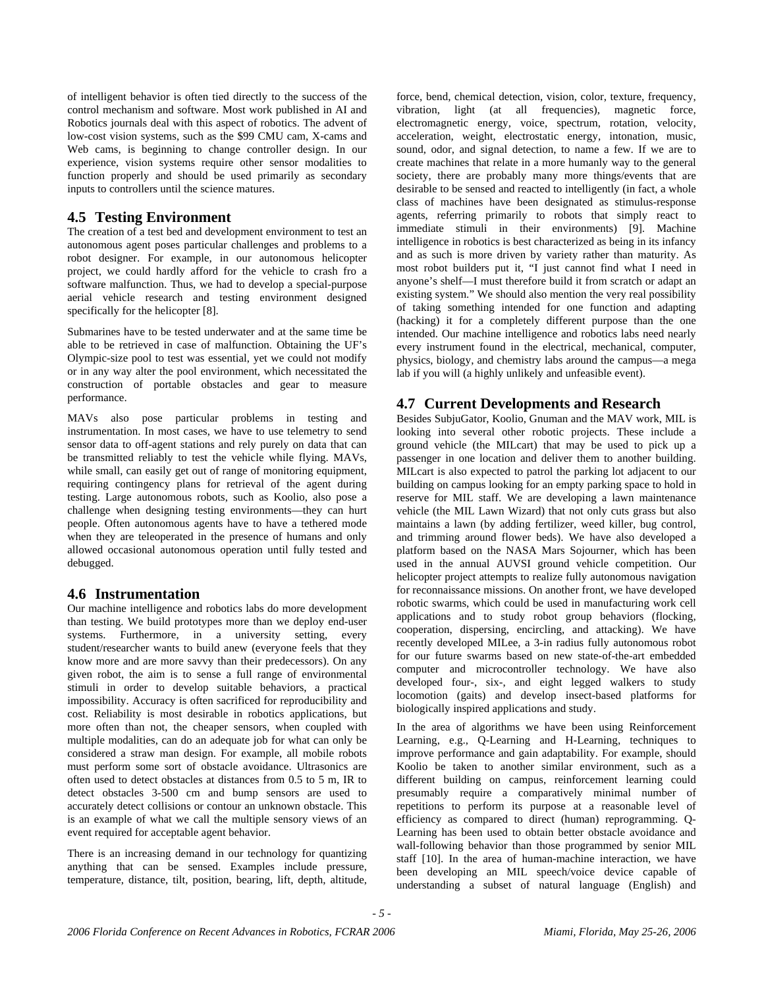of intelligent behavior is often tied directly to the success of the control mechanism and software. Most work published in AI and Robotics journals deal with this aspect of robotics. The advent of low-cost vision systems, such as the \$99 CMU cam, X-cams and Web cams, is beginning to change controller design. In our experience, vision systems require other sensor modalities to function properly and should be used primarily as secondary inputs to controllers until the science matures.

# **4.5 Testing Environment**

The creation of a test bed and development environment to test an autonomous agent poses particular challenges and problems to a robot designer. For example, in our autonomous helicopter project, we could hardly afford for the vehicle to crash fro a software malfunction. Thus, we had to develop a special-purpose aerial vehicle research and testing environment designed specifically for the helicopter [8].

Submarines have to be tested underwater and at the same time be able to be retrieved in case of malfunction. Obtaining the UF's Olympic-size pool to test was essential, yet we could not modify or in any way alter the pool environment, which necessitated the construction of portable obstacles and gear to measure performance.

MAVs also pose particular problems in testing and instrumentation. In most cases, we have to use telemetry to send sensor data to off-agent stations and rely purely on data that can be transmitted reliably to test the vehicle while flying. MAVs, while small, can easily get out of range of monitoring equipment, requiring contingency plans for retrieval of the agent during testing. Large autonomous robots, such as Koolio, also pose a challenge when designing testing environments—they can hurt people. Often autonomous agents have to have a tethered mode when they are teleoperated in the presence of humans and only allowed occasional autonomous operation until fully tested and debugged.

## **4.6 Instrumentation**

Our machine intelligence and robotics labs do more development than testing. We build prototypes more than we deploy end-user systems. Furthermore, in a university setting, every student/researcher wants to build anew (everyone feels that they know more and are more savvy than their predecessors). On any given robot, the aim is to sense a full range of environmental stimuli in order to develop suitable behaviors, a practical impossibility. Accuracy is often sacrificed for reproducibility and cost. Reliability is most desirable in robotics applications, but more often than not, the cheaper sensors, when coupled with multiple modalities, can do an adequate job for what can only be considered a straw man design. For example, all mobile robots must perform some sort of obstacle avoidance. Ultrasonics are often used to detect obstacles at distances from 0.5 to 5 m, IR to detect obstacles 3-500 cm and bump sensors are used to accurately detect collisions or contour an unknown obstacle. This is an example of what we call the multiple sensory views of an event required for acceptable agent behavior.

There is an increasing demand in our technology for quantizing anything that can be sensed. Examples include pressure, temperature, distance, tilt, position, bearing, lift, depth, altitude,

force, bend, chemical detection, vision, color, texture, frequency, vibration, light (at all frequencies), magnetic force, electromagnetic energy, voice, spectrum, rotation, velocity, acceleration, weight, electrostatic energy, intonation, music, sound, odor, and signal detection, to name a few. If we are to create machines that relate in a more humanly way to the general society, there are probably many more things/events that are desirable to be sensed and reacted to intelligently (in fact, a whole class of machines have been designated as stimulus-response agents, referring primarily to robots that simply react to immediate stimuli in their environments) [9]. Machine intelligence in robotics is best characterized as being in its infancy and as such is more driven by variety rather than maturity. As most robot builders put it, "I just cannot find what I need in anyone's shelf—I must therefore build it from scratch or adapt an existing system." We should also mention the very real possibility of taking something intended for one function and adapting (hacking) it for a completely different purpose than the one intended. Our machine intelligence and robotics labs need nearly every instrument found in the electrical, mechanical, computer, physics, biology, and chemistry labs around the campus—a mega lab if you will (a highly unlikely and unfeasible event).

# **4.7 Current Developments and Research**

Besides SubjuGator, Koolio, Gnuman and the MAV work, MIL is looking into several other robotic projects. These include a ground vehicle (the MILcart) that may be used to pick up a passenger in one location and deliver them to another building. MILcart is also expected to patrol the parking lot adjacent to our building on campus looking for an empty parking space to hold in reserve for MIL staff. We are developing a lawn maintenance vehicle (the MIL Lawn Wizard) that not only cuts grass but also maintains a lawn (by adding fertilizer, weed killer, bug control, and trimming around flower beds). We have also developed a platform based on the NASA Mars Sojourner, which has been used in the annual AUVSI ground vehicle competition. Our helicopter project attempts to realize fully autonomous navigation for reconnaissance missions. On another front, we have developed robotic swarms, which could be used in manufacturing work cell applications and to study robot group behaviors (flocking, cooperation, dispersing, encircling, and attacking). We have recently developed MILee, a 3-in radius fully autonomous robot for our future swarms based on new state-of-the-art embedded computer and microcontroller technology. We have also developed four-, six-, and eight legged walkers to study locomotion (gaits) and develop insect-based platforms for biologically inspired applications and study.

In the area of algorithms we have been using Reinforcement Learning, e.g., Q-Learning and H-Learning, techniques to improve performance and gain adaptability. For example, should Koolio be taken to another similar environment, such as a different building on campus, reinforcement learning could presumably require a comparatively minimal number of repetitions to perform its purpose at a reasonable level of efficiency as compared to direct (human) reprogramming. Q-Learning has been used to obtain better obstacle avoidance and wall-following behavior than those programmed by senior MIL staff [10]. In the area of human-machine interaction, we have been developing an MIL speech/voice device capable of understanding a subset of natural language (English) and

*- 5 -*